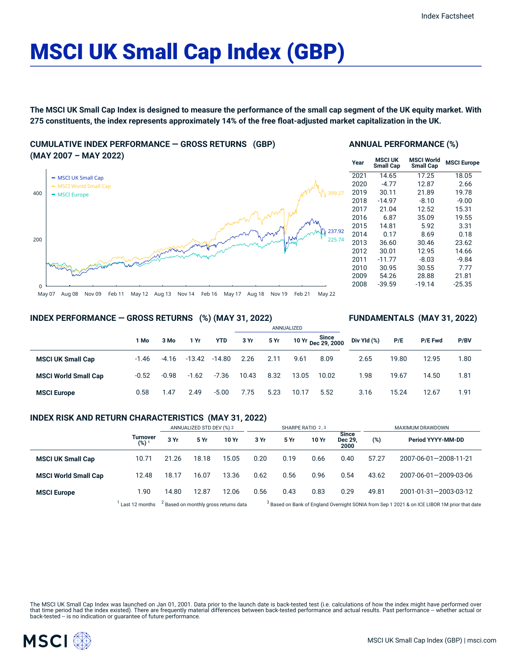# MSCI UK Small Cap Index (GBP)

The MSCI UK Small Cap Index is designed to measure the performance of the small cap segment of the UK equity market. With 275 constituents, the index represents approximately 14% of the free float-adjusted market capitalization in the UK.

## **CUMULATIVE INDEX PERFORMANCE — GROSS RETURNS (GBP) (MAY 2007 – MAY 2022)**



## **ANNUAL PERFORMANCE (%)**

| Year | <b>MSCI UK</b><br><b>Small Cap</b> | <b>MSCI World</b><br><b>Small Cap</b> | <b>MSCI Europe</b> |
|------|------------------------------------|---------------------------------------|--------------------|
| 2021 | 14.65                              | 17.25                                 | 18.05              |
| 2020 | $-4.77$                            | 12.87                                 | 2.66               |
| 2019 | 30.11                              | 21.89                                 | 19.78              |
| 2018 | $-14.97$                           | $-8.10$                               | $-9.00$            |
| 2017 | 21.04                              | 12.52                                 | 15.31              |
| 2016 | 6.87                               | 35.09                                 | 19.55              |
| 2015 | 14.81                              | 5.92                                  | 3.31               |
| 2014 | 0.17                               | 8.69                                  | 0.18               |
| 2013 | 36.60                              | 30.46                                 | 23.62              |
| 2012 | 30.01                              | 12.95                                 | 14.66              |
| 2011 | $-11.77$                           | $-8.03$                               | $-9.84$            |
| 2010 | 30.95                              | 30.55                                 | 7.77               |
| 2009 | 54.26                              | 28.88                                 | 21.81              |
| 2008 | $-39.59$                           | $-19.14$                              | $-25.35$           |
|      |                                    |                                       |                    |

**FUNDAMENTALS (MAY 31, 2022)**

## **INDEX PERFORMANCE — GROSS RETURNS (%) (MAY 31, 2022)**

|                             |         |         |          |            | ANNUALIZED |      |       |                             |             |       |                |      |  |
|-----------------------------|---------|---------|----------|------------|------------|------|-------|-----------------------------|-------------|-------|----------------|------|--|
|                             | 1 Mo    | 3 Mo    | 1 Yr     | <b>YTD</b> | 3 Yr       | 5 Yr |       | 10 Yr Since<br>Dec 29, 2000 | Div Yld (%) | P/E   | <b>P/E Fwd</b> | P/BV |  |
| <b>MSCI UK Small Cap</b>    | $-1.46$ | $-4.16$ | $-13.42$ | $-14.80$   | 2.26       | 2.11 | 9.61  | 8.09                        | 2.65        | 19.80 | 12.95          | 1.80 |  |
| <b>MSCI World Small Cap</b> | $-0.52$ | $-0.98$ | $-1.62$  | $-7.36$    | 10.43      | 8.32 | 13.05 | 10.02                       | 1.98        | 19.67 | 14.50          | 1.81 |  |
| <b>MSCI Europe</b>          | 0.58    | 1.47    | 2.49     | $-5.00$    | 7.75       | 5.23 | 10.17 | 5.52                        | 3.16        | 15.24 | 12.67          | 1.91 |  |

## **INDEX RISK AND RETURN CHARACTERISTICS (MAY 31, 2022)**

|                             |                 | ANNUALIZED STD DEV (%) 2 |       |                                                  | SHARPE RATIO 2,3 |      |       |                                 | MAXIMUM DRAWDOWN                                                                                        |                       |  |
|-----------------------------|-----------------|--------------------------|-------|--------------------------------------------------|------------------|------|-------|---------------------------------|---------------------------------------------------------------------------------------------------------|-----------------------|--|
|                             | Turnover<br>(%) | 3 Yr                     | 5 Yr  | 10 Yr                                            | 3 Yr             | 5 Yr | 10 Yr | <b>Since</b><br>Dec 29,<br>2000 | $(\%)$                                                                                                  | Period YYYY-MM-DD     |  |
| <b>MSCI UK Small Cap</b>    | 10.71           | 21.26                    | 18.18 | 15.05                                            | 0.20             | 0.19 | 0.66  | 0.40                            | 57.27                                                                                                   | 2007-06-01-2008-11-21 |  |
| <b>MSCI World Small Cap</b> | 12.48           | 18.17                    | 16.07 | 13.36                                            | 0.62             | 0.56 | 0.96  | 0.54                            | 43.62                                                                                                   | 2007-06-01-2009-03-06 |  |
| <b>MSCI Europe</b>          | 1.90            | 14.80                    | 12.87 | 12.06                                            | 0.56             | 0.43 | 0.83  | 0.29                            | 49.81                                                                                                   | 2001-01-31-2003-03-12 |  |
|                             | Last 12 months  |                          |       | <sup>2</sup> Based on monthly gross returns data |                  |      |       |                                 | <sup>3</sup> Based on Bank of England Overnight SONIA from Sep 1 2021 & on ICE LIBOR 1M prior that date |                       |  |

The MSCI UK Small Cap Index was launched on Jan 01, 2001. Data prior to the launch date is back-tested test (i.e. calculations of how the index might have performed over<br>that time period had the index existed). There are f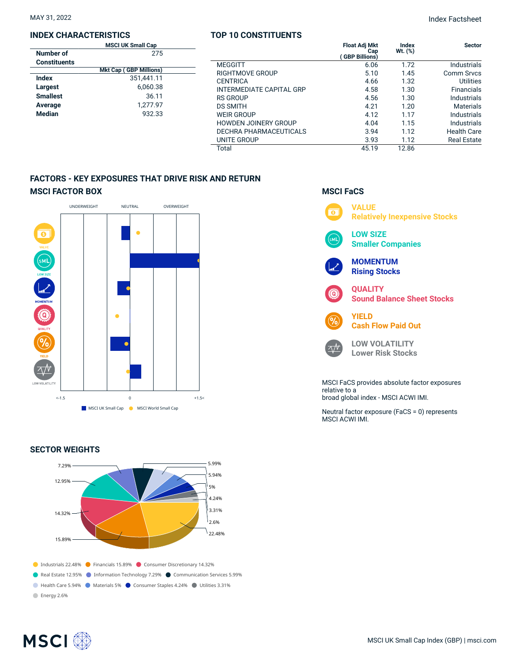## **INDEX CHARACTERISTICS**

| <b>MSCI UK Small Cap</b> |                               |  |  |  |  |
|--------------------------|-------------------------------|--|--|--|--|
| Number of                | 275                           |  |  |  |  |
| Constituents             |                               |  |  |  |  |
|                          | <b>Mkt Cap (GBP Millions)</b> |  |  |  |  |
| Index                    | 351,441.11                    |  |  |  |  |
| Largest                  | 6,060.38                      |  |  |  |  |
| <b>Smallest</b>          | 36.11                         |  |  |  |  |
| Average                  | 1,277.97                      |  |  |  |  |
| <b>Median</b>            | 932.33                        |  |  |  |  |
|                          |                               |  |  |  |  |

## **TOP 10 CONSTITUENTS**

|                               | <b>Float Adj Mkt</b><br>Cap<br><b>GBP Billions)</b> | Index<br>Wt. (%) | <b>Sector</b>      |
|-------------------------------|-----------------------------------------------------|------------------|--------------------|
| <b>MEGGITT</b>                | 6.06                                                | 1.72             | <b>Industrials</b> |
| RIGHTMOVE GROUP               | 5.10                                                | 1.45             | Comm Srvcs         |
| <b>CENTRICA</b>               | 4.66                                                | 1.32             | <b>Utilities</b>   |
| INTERMEDIATE CAPITAL GRP      | 4.58                                                | 1.30             | <b>Financials</b>  |
| <b>RS GROUP</b>               | 4.56                                                | 1.30             | Industrials        |
| <b>DS SMITH</b>               | 4.21                                                | 1.20             | <b>Materials</b>   |
| <b>WEIR GROUP</b>             | 4.12                                                | 1.17             | Industrials        |
| <b>HOWDEN JOINERY GROUP</b>   | 4.04                                                | 1.15             | Industrials        |
| <b>DECHRA PHARMACEUTICALS</b> | 3.94                                                | 1.12             | <b>Health Care</b> |
| UNITE GROUP                   | 3.93                                                | 1.12             | <b>Real Estate</b> |
| Total                         | 45.19                                               | 12.86            |                    |

# **FACTORS - KEY EXPOSURES THAT DRIVE RISK AND RETURN MSCI FACTOR BOX**



## **SECTOR WEIGHTS**



## **MSCI FaCS**



relative to a broad global index - MSCI ACWI IMI.

Neutral factor exposure (FaCS = 0) represents MSCI ACWI IMI.